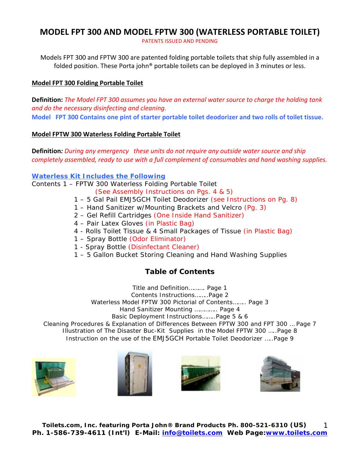# MODEL FPT 300 AND MODEL FPTW 300 (WATERLESS PORTABLE TOILET)

PATENTS ISSUED AND PENDING

Models FPT 300 and FPTW 300 are patented folding portable toilets that ship fully assembled in a folded position. These Porta john® portable toilets can be deployed in 3 minutes or less.

### **Model FPT 300 Folding Portable Toilet**

Definition: The Model FPT 300 assumes you have an external water source to charge the holding tank and do the necessary disinfecting and cleaning. Model FPT 300 Contains one pint of starter portable toilet deodorizer and two rolls of toilet tissue.

### **Model FPTW 300 Waterless Folding Portable Toilet**

Definition: During any emergency these units do not require any outside water source and ship completely assembled, ready to use with a full complement of consumables and hand washing supplies.

### **Waterless Kit Includes the Following**

Contents 1 – FPTW 300 Waterless Folding Portable Toilet

- (See Assembly Instructions on Pgs. 4 & 5)
- 1 5 Gal Pail EMJ5GCH Toilet Deodorizer (see Instructions on Pg. 8)
- 1 Hand Sanitizer w/Mounting Brackets and Velcro (Pg. 3)
- 2 Gel Refill Cartridges (One Inside Hand Sanitizer)
- 4 Pair Latex Gloves (in Plastic Bag)
- 4 Rolls Toilet Tissue & 4 Small Packages of Tissue (in Plastic Bag)
- 1 Spray Bottle (Odor Eliminator)
- 1 Spray Bottle (Disinfectant Cleaner)
- 1 5 Gallon Bucket Storing Cleaning and Hand Washing Supplies

## **Table of Contents**

Title and Definition………. Page 1 Contents Instructions……..Page 2 Waterless Model FPTW 300 Pictorial of Contents…….. Page 3 Hand Sanitizer Mounting ………….. Page 4 Basic Deployment Instructions……..Page 5 & 6 Cleaning Procedures & Explanation of Differences Between FPTW 300 and FPT 300 … Page 7 Illustration of The Disaster Buc-Kit Supplies in the Model FPTW 300 …..Page 8 Instruction on the use of the EMJ5GCH Portable Toilet Deodorizer …..Page 9







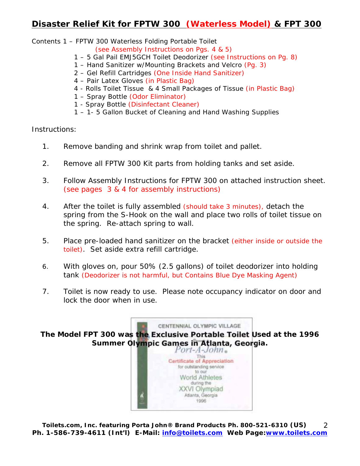## **Disaster Relief Kit for FPTW 300 (Waterless Model) & FPT 300**

Contents 1 – FPTW 300 Waterless Folding Portable Toilet

- (see Assembly Instructions on Pgs. 4 & 5)
- 1 5 Gal Pail EMJ5GCH Toilet Deodorizer (see Instructions on Pg. 8)
- 1 Hand Sanitizer w/Mounting Brackets and Velcro (Pg. 3)
- 2 Gel Refill Cartridges (One Inside Hand Sanitizer)
- 4 Pair Latex Gloves (in Plastic Bag)
- 4 Rolls Toilet Tissue & 4 Small Packages of Tissue (in Plastic Bag)
- 1 Spray Bottle (Odor Eliminator)
- 1 Spray Bottle (Disinfectant Cleaner)
- 1 1- 5 Gallon Bucket of Cleaning and Hand Washing Supplies

Instructions:

- 1. Remove banding and shrink wrap from toilet and pallet.
- 2. Remove all FPTW 300 Kit parts from holding tanks and set aside.
- 3. Follow Assembly Instructions for FPTW 300 on attached instruction sheet. (see pages 3 & 4 for assembly instructions)
- 4. After the toilet is fully assembled (should take 3 minutes), detach the spring from the S-Hook on the wall and place two rolls of toilet tissue on the spring. Re-attach spring to wall.
- 5. Place pre-loaded hand sanitizer on the bracket (either inside or outside the toilet). Set aside extra refill cartridge.
- 6. With gloves on, pour 50% (2.5 gallons) of toilet deodorizer into holding tank (Deodorizer is not harmful, but Contains Blue Dye Masking Agent)
- 7. Toilet is now ready to use. Please note occupancy indicator on door and lock the door when in use.

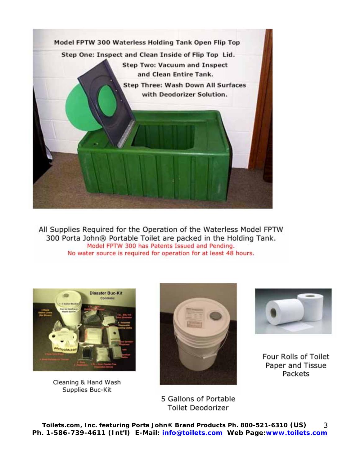

All Supplies Required for the Operation of the Waterless Model FPTW 300 Porta John® Portable Toilet are packed in the Holding Tank. Model FPTW 300 has Patents Issued and Pending. No water source is required for operation for at least 48 hours.



Cleaning & Hand Wash Supplies Buc-Kit







Four Rolls of Toilet Paper and Tissue Packets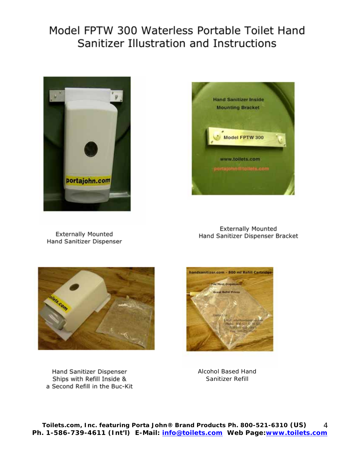# Model FPTW 300 Waterless Portable Toilet Hand Sanitizer Illustration and Instructions





Externally Mounted Hand Sanitizer Dispenser

#### Externally Mounted Hand Sanitizer Dispenser Bracket



Hand Sanitizer Dispenser Ships with Refill Inside & a Second Refill in the Buc-Kit



Alcohol Based Hand Sanitizer Refill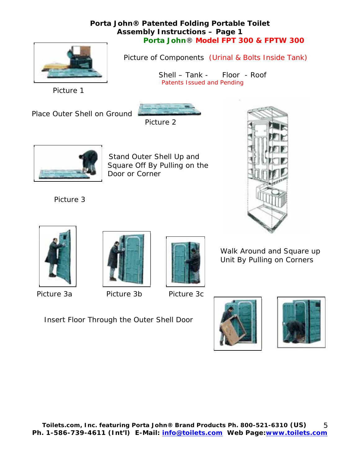## **Porta John® Patented Folding Portable Toilet Assembly Instructions – Page 1 Porta John**® **Model FPT 300 & FPTW 300**



Picture of Components (Urinal & Bolts Inside Tank)

 Shell – Tank - Floor - Roof Patents Issued and Pending

Picture 1

Place Outer Shell on Ground



Picture 2



 Stand Outer Shell Up and Square Off By Pulling on the Door or Corner

Picture 3



Walk Around and Square up Unit By Pulling on Corners



Picture 3a Picture 3b Picture 3c





Insert Floor Through the Outer Shell Door



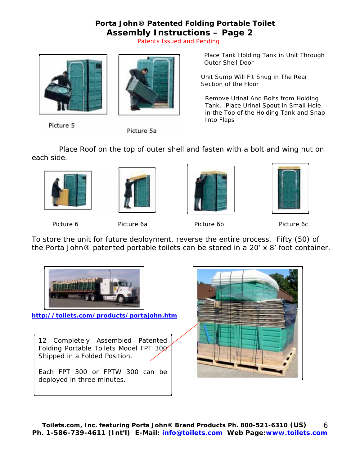## **Porta John® Patented Folding Portable Toilet Assembly Instructions – Page 2**

Patents Issued and Pending





Picture 5

Picture 5a

 Place Tank Holding Tank in Unit Through Outer Shell Door

Unit Sump Will Fit Snug in The Rear Section of the Floor

 Remove Urinal And Bolts from Holding Tank. Place Urinal Spout in Small Hole in the Top of the Holding Tank and Snap Into Flaps

 Place Roof on the top of outer shell and fasten with a bolt and wing nut on each side.









Picture 6 **Picture 6a** Picture 6b Picture 6c

To store the unit for future deployment, reverse the entire process. Fifty (50) of the Porta John® patented portable toilets can be stored in a 20' x 8' foot container.



**http://toilets.com/products/portajohn.htm**

12 Completely Assembled Patented Folding Portable Toilets Model FPT 300 Shipped in a Folded Position.

Each FPT 300 or FPTW 300 can be deployed in three minutes.

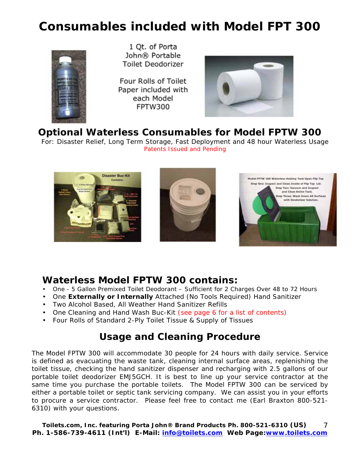# **Consumables included with Model FPT 300**



1 Qt. of Porta John® Portable Toilet Deodorizer

Four Rolls of Toilet Paper included with each Model FPTW300



## **Optional Waterless Consumables for Model FPTW 300**

For: Disaster Relief, Long Term Storage, Fast Deployment and 48 hour Waterless Usage Patents Issued and Pending



## **Waterless Model FPTW 300 contains:**

- One 5 Gallon Premixed Toilet Deodorant Sufficient for 2 Charges Over 48 to 72 Hours
- One **Externally or Internally** Attached (No Tools Required) Hand Sanitizer
- Two Alcohol Based, All Weather Hand Sanitizer Refills
- One Cleaning and Hand Wash Buc-Kit (see page 6 for a list of contents)
- Four Rolls of Standard 2-Ply Toilet Tissue & Supply of Tissues

# **Usage and Cleaning Procedure**

The Model FPTW 300 will accommodate 30 people for 24 hours with daily service. Service is defined as evacuating the waste tank, cleaning internal surface areas, replenishing the toilet tissue, checking the hand sanitizer dispenser and recharging with 2.5 gallons of our portable toilet deodorizer EMJ5GCH. It is best to line up your service contractor at the same time you purchase the portable toilets. The Model FPTW 300 can be serviced by either a portable toilet or septic tank servicing company. We can assist you in your efforts to procure a service contractor. Please feel free to contact me (Earl Braxton 800-521- 6310) with your questions.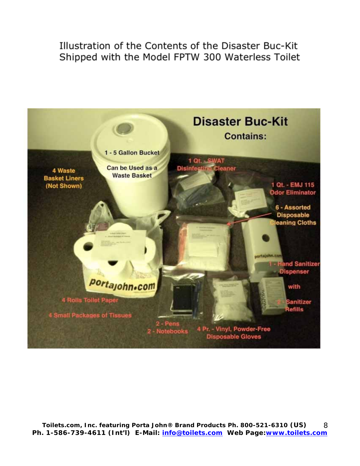# Illustration of the Contents of the Disaster Buc-Kit Shipped with the Model FPTW 300 Waterless Toilet